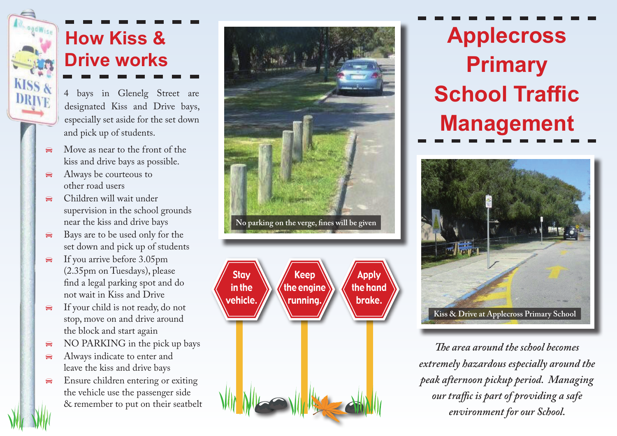

### **How Kiss & Drive works**

- 4 bays in Glenelg Street are designated Kiss and Drive bays, especially set aside for the set down and pick up of students.
- Move as near to the front of the kiss and drive bays as possible.
- $\triangleleft$  Always be courteous to other road users
- Children will wait under supervision in the school grounds near the kiss and drive bays
- $\triangle$  Bays are to be used only for the set down and pick up of students
- $\triangleq$  If you arrive before 3.05pm (2.35pm on Tuesdays), please find a legal parking spot and do not wait in Kiss and Drive
- $\bigoplus$  If your child is not ready, do not stop, move on and drive around the block and start again
- $\triangle$  NO PARKING in the pick up bays
- $\bigoplus$  Always indicate to enter and leave the kiss and drive bays
- $\bigoplus$  Ensure children entering or exiting the vehicle use the passenger side & remember to put on their seatbelt





**Applecross Primary School Traffic Management**



*The area around the school becomes extremely hazardous especially around the peak afternoon pickup period. Managing our traffic is part of providing a safe environment for our School.*